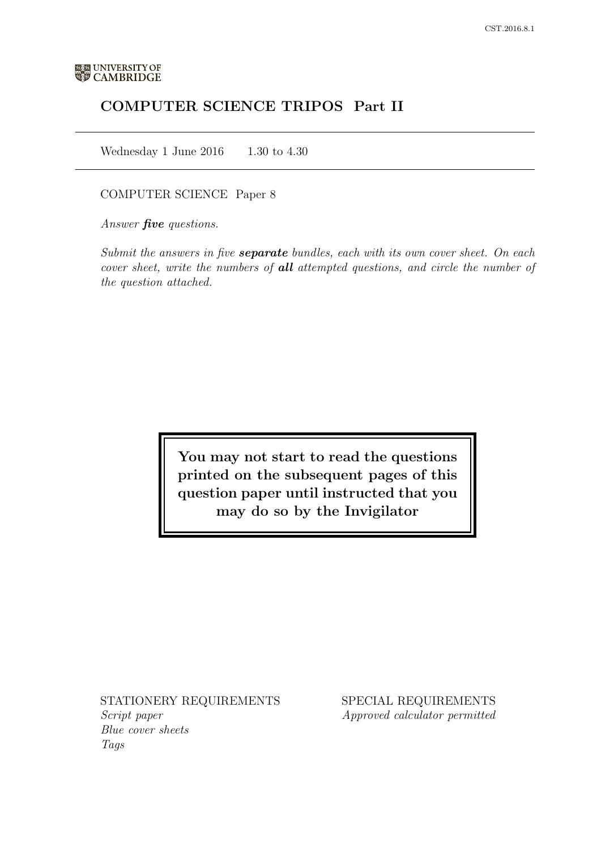# COMPUTER SCIENCE TRIPOS Part II

Wednesday 1 June 2016  $1.30$  to 4.30

# COMPUTER SCIENCE Paper 8

Answer *five* questions.

Submit the answers in five **separate** bundles, each with its own cover sheet. On each cover sheet, write the numbers of **all** attempted questions, and circle the number of the question attached.

> You may not start to read the questions printed on the subsequent pages of this question paper until instructed that you may do so by the Invigilator

STATIONERY REQUIREMENTS Script paper Blue cover sheets

Tags

SPECIAL REQUIREMENTS Approved calculator permitted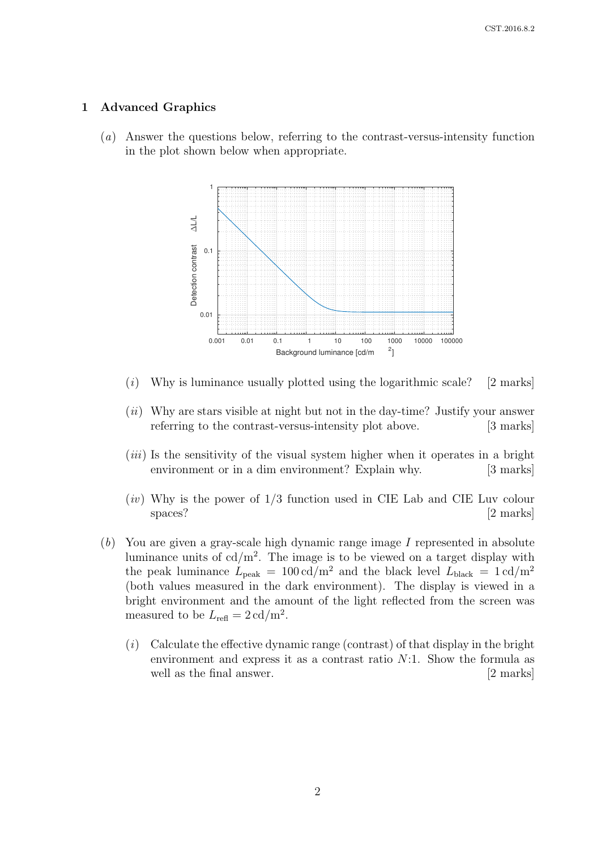#### 1 Advanced Graphics

(a) Answer the questions below, referring to the contrast-versus-intensity function in the plot shown below when appropriate.



- $(i)$  Why is luminance usually plotted using the logarithmic scale? [2 marks]
- $(ii)$  Why are stars visible at night but not in the day-time? Justify your answer referring to the contrast-versus-intensity plot above. [3 marks]
- $(iii)$  Is the sensitivity of the visual system higher when it operates in a bright environment or in a dim environment? Explain why. [3 marks]
- $(iv)$  Why is the power of  $1/3$  function used in CIE Lab and CIE Luv colour spaces? [2 marks]
- (b) You are given a gray-scale high dynamic range image I represented in absolute luminance units of  $cd/m^2$ . The image is to be viewed on a target display with the peak luminance  $L_{\text{peak}} = 100 \text{ cd/m}^2$  and the black level  $L_{\text{black}} = 1 \text{ cd/m}^2$ (both values measured in the dark environment). The display is viewed in a bright environment and the amount of the light reflected from the screen was measured to be  $L_{\text{refl}} = 2 \text{ cd/m}^2$ .
	- $(i)$  Calculate the effective dynamic range (contrast) of that display in the bright environment and express it as a contrast ratio  $N:1$ . Show the formula as well as the final answer. [2 marks]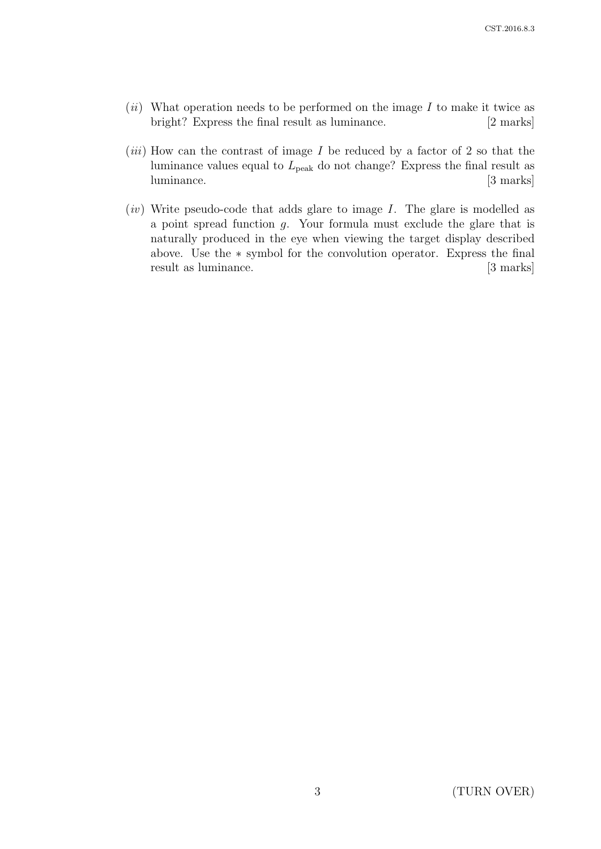- $(ii)$  What operation needs to be performed on the image I to make it twice as bright? Express the final result as luminance. [2 marks]
- $(iii)$  How can the contrast of image I be reduced by a factor of 2 so that the luminance values equal to  $L_{\text{peak}}$  do not change? Express the final result as luminance. [3 marks]
- $(iv)$  Write pseudo-code that adds glare to image I. The glare is modelled as a point spread function g. Your formula must exclude the glare that is naturally produced in the eye when viewing the target display described above. Use the ∗ symbol for the convolution operator. Express the final result as luminance. [3 marks]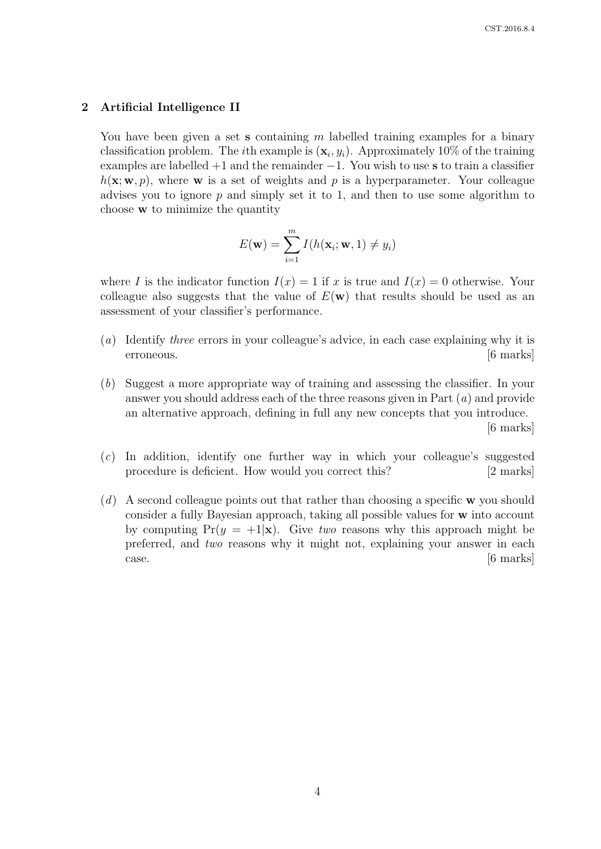# 2 Artificial Intelligence II

You have been given a set **s** containing m labelled training examples for a binary classification problem. The *i*th example is  $(\mathbf{x}_i, y_i)$ . Approximately 10% of the training examples are labelled  $+1$  and the remainder  $-1$ . You wish to use s to train a classifier  $h(\mathbf{x}; \mathbf{w}, p)$ , where **w** is a set of weights and p is a hyperparameter. Your colleague advises you to ignore  $p$  and simply set it to 1, and then to use some algorithm to choose w to minimize the quantity

$$
E(\mathbf{w}) = \sum_{i=1}^{m} I(h(\mathbf{x}_i; \mathbf{w}, 1) \neq y_i)
$$

where I is the indicator function  $I(x) = 1$  if x is true and  $I(x) = 0$  otherwise. Your colleague also suggests that the value of  $E(\mathbf{w})$  that results should be used as an assessment of your classifier's performance.

- (a) Identify three errors in your colleague's advice, in each case explaining why it is erroneous. [6 marks]
- (b) Suggest a more appropriate way of training and assessing the classifier. In your answer you should address each of the three reasons given in Part  $(a)$  and provide an alternative approach, defining in full any new concepts that you introduce. [6 marks]
- (c) In addition, identify one further way in which your colleague's suggested procedure is deficient. How would you correct this? [2 marks]
- $(d)$  A second colleague points out that rather than choosing a specific w you should consider a fully Bayesian approach, taking all possible values for w into account by computing  $Pr(y = +1|\mathbf{x})$ . Give two reasons why this approach might be preferred, and two reasons why it might not, explaining your answer in each case. [6 marks]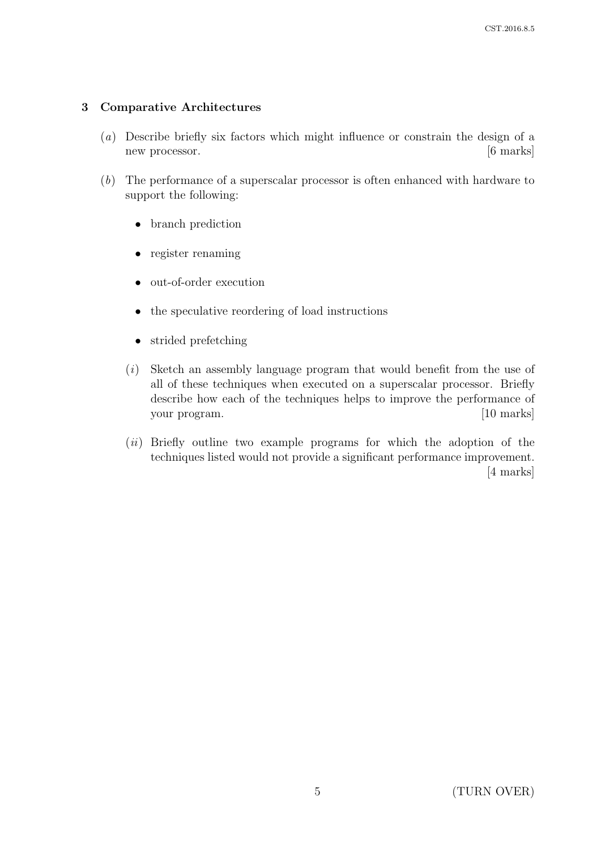# 3 Comparative Architectures

- (a) Describe briefly six factors which might influence or constrain the design of a new processor. [6 marks]
- (b) The performance of a superscalar processor is often enhanced with hardware to support the following:
	- branch prediction
	- register renaming
	- out-of-order execution
	- the speculative reordering of load instructions
	- strided prefetching
	- (i) Sketch an assembly language program that would benefit from the use of all of these techniques when executed on a superscalar processor. Briefly describe how each of the techniques helps to improve the performance of your program. [10 marks]
	- (ii) Briefly outline two example programs for which the adoption of the techniques listed would not provide a significant performance improvement. [4 marks]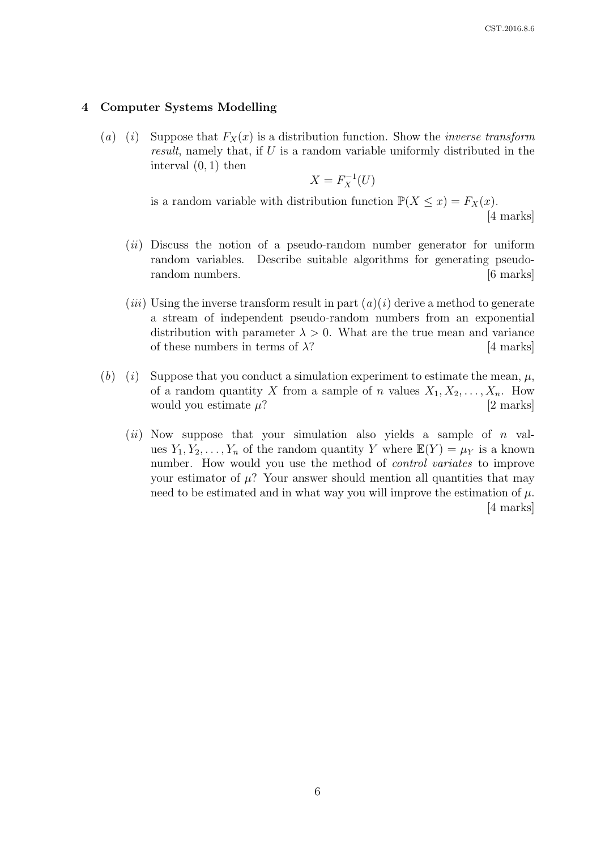#### 4 Computer Systems Modelling

(a) (i) Suppose that  $F_X(x)$  is a distribution function. Show the *inverse transform* result, namely that, if U is a random variable uniformly distributed in the interval (0, 1) then

$$
X = F_X^{-1}(U)
$$

is a random variable with distribution function  $\mathbb{P}(X \leq x) = F_X(x)$ .

[4 marks]

- $(ii)$  Discuss the notion of a pseudo-random number generator for uniform random variables. Describe suitable algorithms for generating pseudorandom numbers. [6 marks]
- (*iii*) Using the inverse transform result in part  $(a)(i)$  derive a method to generate a stream of independent pseudo-random numbers from an exponential distribution with parameter  $\lambda > 0$ . What are the true mean and variance of these numbers in terms of  $\lambda$ ? [4 marks]
- (b) (i) Suppose that you conduct a simulation experiment to estimate the mean,  $\mu$ , of a random quantity X from a sample of n values  $X_1, X_2, \ldots, X_n$ . How would you estimate  $\mu$ ? [2 marks]
	- (*ii*) Now suppose that your simulation also yields a sample of  $n$  values  $Y_1, Y_2, \ldots, Y_n$  of the random quantity Y where  $\mathbb{E}(Y) = \mu_Y$  is a known number. How would you use the method of *control variates* to improve your estimator of  $\mu$ ? Your answer should mention all quantities that may need to be estimated and in what way you will improve the estimation of  $\mu$ . [4 marks]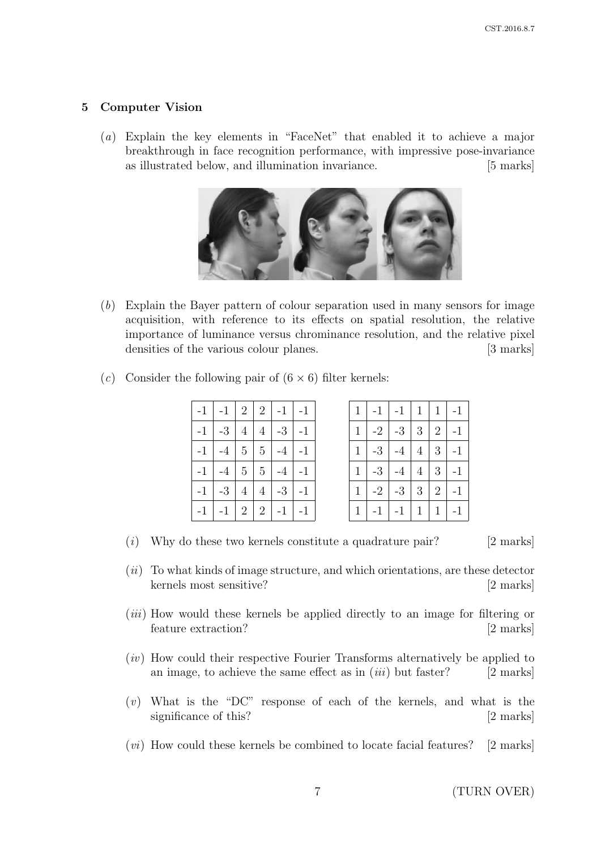# 5 Computer Vision

(a) Explain the key elements in "FaceNet" that enabled it to achieve a major breakthrough in face recognition performance, with impressive pose-invariance as illustrated below, and illumination invariance. [5 marks]



(b) Explain the Bayer pattern of colour separation used in many sensors for image acquisition, with reference to its effects on spatial resolution, the relative importance of luminance versus chrominance resolution, and the relative pixel densities of the various colour planes. [3 marks]

| $-1$ $-1$ $2$ $2$ $-1$ $-1$           |  |           |  | 1 <sup>1</sup> | $-1$ $-1$ $1$ $1$ $-1$     |  |  |
|---------------------------------------|--|-----------|--|----------------|----------------------------|--|--|
| $-1$ $-3$ $4$ $4$ $-3$ $-1$           |  |           |  | 1              | $-2$ $-3$ $3$ $2$ $-1$     |  |  |
| $-1$   $-4$   $5$   $5$   $-4$   $-1$ |  |           |  | 1 <sup>1</sup> | $-3$ $-4$ $4$ $3$ $-1$     |  |  |
| $-1$ $-4$ $5$ $5$ $-4$ $-1$           |  |           |  |                | $-3$ $-4$ $4$ $3$ $-1$     |  |  |
| $-1$ $-3$ $4$ $4$                     |  | $-3$ $-1$ |  |                | $-2$   $-3$   3   2   $-1$ |  |  |
| $-1$ $-1$ $2$ $2$ $-1$ $-1$           |  |           |  | $\mathbf{1}$   | $-1$ $-1$ $1$ $1$ $-1$     |  |  |

|  |  | (c) Consider the following pair of $(6 \times 6)$ filter kernels: |  |  |  |  |  |  |  |  |  |
|--|--|-------------------------------------------------------------------|--|--|--|--|--|--|--|--|--|
|--|--|-------------------------------------------------------------------|--|--|--|--|--|--|--|--|--|

| $\mathbf{1}$ | $-1$ | $-1$ | $\mathbf{1}$   | $\mathbf{1}$ | $-1$ |
|--------------|------|------|----------------|--------------|------|
| $\mathbf{1}$ | $-2$ | $-3$ | $\mathfrak{Z}$ | $\sqrt{2}$   | $-1$ |
| $\mathbf{1}$ | $-3$ | $-4$ | $\overline{4}$ | 3            | $-1$ |
| $\mathbf{1}$ | $-3$ | $-4$ | $\overline{4}$ | $\sqrt{3}$   | $-1$ |
| $\mathbf{1}$ | $-2$ | $-3$ | $\sqrt{3}$     | $\sqrt{2}$   | $-1$ |
|              | $-1$ | $-1$ |                |              | $-1$ |

 $(i)$  Why do these two kernels constitute a quadrature pair? [2 marks]

- $(ii)$  To what kinds of image structure, and which orientations, are these detector kernels most sensitive? [2 marks]
- (*iii*) How would these kernels be applied directly to an image for filtering or feature extraction? [2 marks]
- $(iv)$  How could their respective Fourier Transforms alternatively be applied to an image, to achieve the same effect as in  $(iii)$  but faster? [2 marks]
- $(v)$  What is the "DC" response of each of the kernels, and what is the significance of this? [2 marks]
- $(vi)$  How could these kernels be combined to locate facial features? [2 marks]

7 (TURN OVER)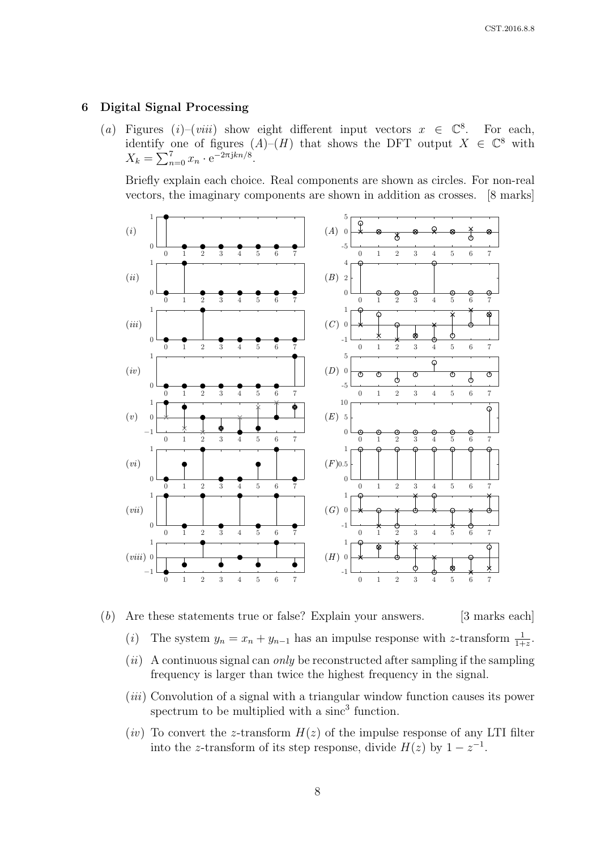### 6 Digital Signal Processing

(a) Figures (i)–(viii) show eight different input vectors  $x \in \mathbb{C}^8$ . For each, identify one of figures  $(A)$ – $(H)$  that shows the DFT output  $X \in \mathbb{C}^8$  with  $X_k = \sum_{n=0}^{7} x_n \cdot e^{-2\pi jkn/8}.$ 

Briefly explain each choice. Real components are shown as circles. For non-real vectors, the imaginary components are shown in addition as crosses. [8 marks]



(b) Are these statements true or false? Explain your answers. [3 marks each]

- (*i*) The system  $y_n = x_n + y_{n-1}$  has an impulse response with z-transform  $\frac{1}{1+z}$ .
- $(ii)$  A continuous signal can *only* be reconstructed after sampling if the sampling frequency is larger than twice the highest frequency in the signal.
- $(iii)$  Convolution of a signal with a triangular window function causes its power spectrum to be multiplied with a sinc<sup>3</sup> function.
- $(iv)$  To convert the z-transform  $H(z)$  of the impulse response of any LTI filter into the z-transform of its step response, divide  $H(z)$  by  $1-z^{-1}$ .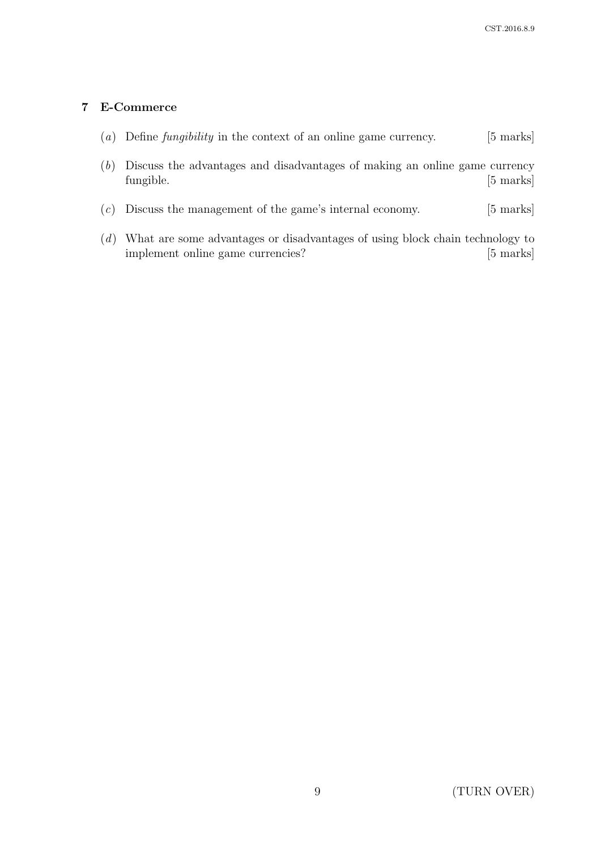# 7 E-Commerce

- (a) Define *fungibility* in the context of an online game currency.  $[5 \text{ marks}]$
- (b) Discuss the advantages and disadvantages of making an online game currency fungible. [5 marks]
- (c) Discuss the management of the game's internal economy. [5 marks]
- (d) What are some advantages or disadvantages of using block chain technology to implement online game currencies? [5 marks]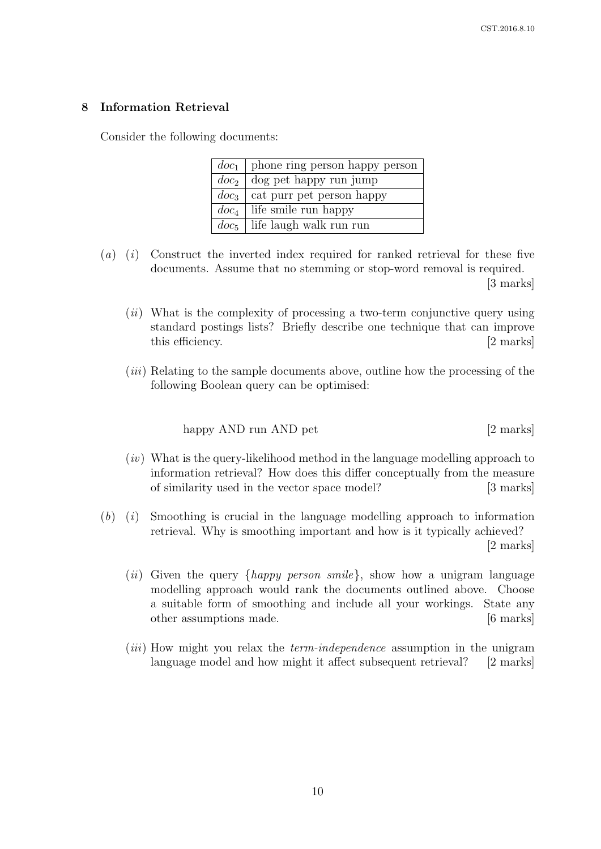# 8 Information Retrieval

Consider the following documents:

| $doc_1$   phone ring person happy person |
|------------------------------------------|
| $doc_2$   dog pet happy run jump         |
| $doc3$   cat purr pet person happy       |
| $doc_4$ life smile run happy             |
| $doc5$   life laugh walk run run         |

- $(a)$  (i) Construct the inverted index required for ranked retrieval for these five documents. Assume that no stemming or stop-word removal is required. [3 marks]
	- $(ii)$  What is the complexity of processing a two-term conjunctive query using standard postings lists? Briefly describe one technique that can improve this efficiency. [2 marks]
	- (iii) Relating to the sample documents above, outline how the processing of the following Boolean query can be optimised:

happy AND run AND pet [2 marks]

- $(iv)$  What is the query-likelihood method in the language modelling approach to information retrieval? How does this differ conceptually from the measure of similarity used in the vector space model? [3 marks]
- $(b)$  (i) Smoothing is crucial in the language modelling approach to information retrieval. Why is smoothing important and how is it typically achieved? [2 marks]
	- (*ii*) Given the query  $\{happy\ person\smash{prime}\}$ , show how a unigram language modelling approach would rank the documents outlined above. Choose a suitable form of smoothing and include all your workings. State any other assumptions made. [6 marks]
	- (*iii*) How might you relax the *term-independence* assumption in the unigram language model and how might it affect subsequent retrieval? [2 marks]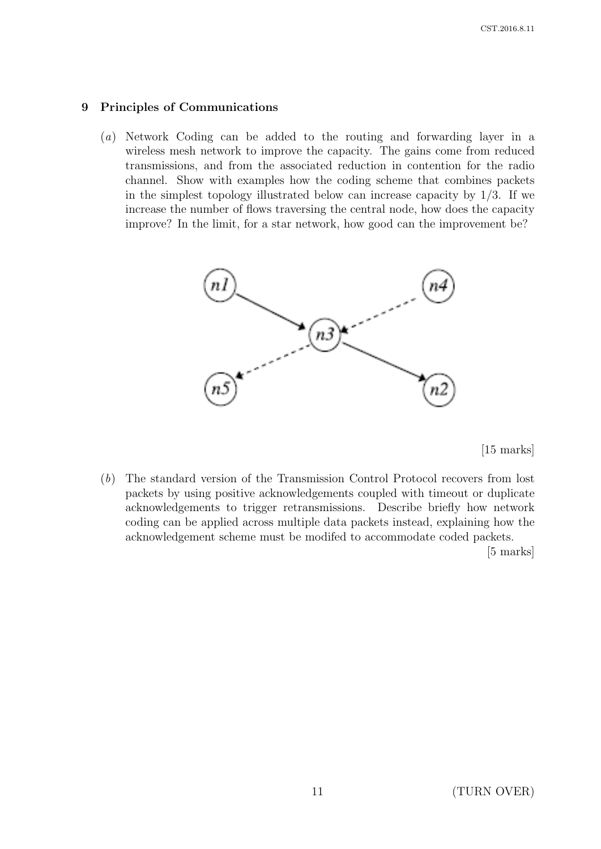### 9 Principles of Communications

(a) Network Coding can be added to the routing and forwarding layer in a wireless mesh network to improve the capacity. The gains come from reduced transmissions, and from the associated reduction in contention for the radio channel. Show with examples how the coding scheme that combines packets in the simplest topology illustrated below can increase capacity by  $1/3$ . If we increase the number of flows traversing the central node, how does the capacity improve? In the limit, for a star network, how good can the improvement be?



[15 marks]

(b) The standard version of the Transmission Control Protocol recovers from lost packets by using positive acknowledgements coupled with timeout or duplicate acknowledgements to trigger retransmissions. Describe briefly how network coding can be applied across multiple data packets instead, explaining how the acknowledgement scheme must be modifed to accommodate coded packets.

[5 marks]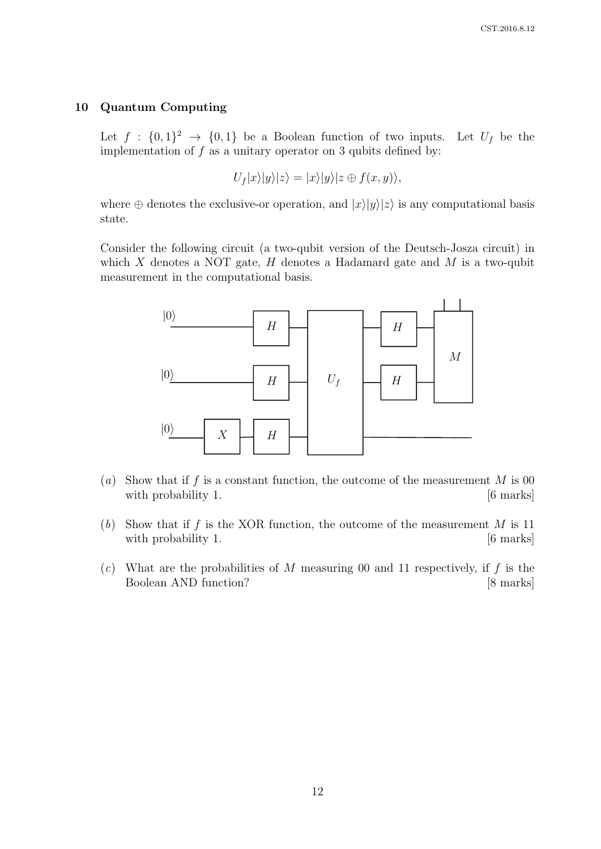#### 10 Quantum Computing

Let  $f : \{0,1\}^2 \to \{0,1\}$  be a Boolean function of two inputs. Let  $U_f$  be the implementation of  $f$  as a unitary operator on 3 qubits defined by:

$$
U_f|x\rangle|y\rangle|z\rangle=|x\rangle|y\rangle|z\oplus f(x,y)\rangle,
$$

where  $\oplus$  denotes the exclusive-or operation, and  $|x\rangle|y\rangle|z\rangle$  is any computational basis state.

Consider the following circuit (a two-qubit version of the Deutsch-Josza circuit) in which  $X$  denotes a NOT gate,  $H$  denotes a Hadamard gate and  $M$  is a two-qubit measurement in the computational basis.



- (a) Show that if f is a constant function, the outcome of the measurement  $M$  is 00 with probability 1. [6 marks]
- (b) Show that if f is the XOR function, the outcome of the measurement  $M$  is 11 with probability 1.  $[6 \text{ marks}]$
- (c) What are the probabilities of M measuring 00 and 11 respectively, if f is the Boolean AND function? [8 marks]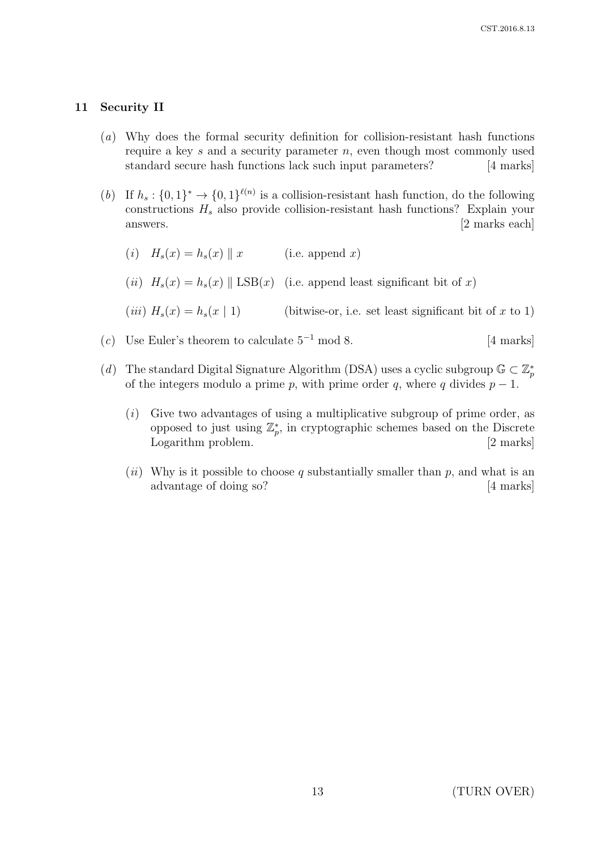# 11 Security II

- (a) Why does the formal security definition for collision-resistant hash functions require a key s and a security parameter  $n$ , even though most commonly used standard secure hash functions lack such input parameters? [4 marks]
- (b) If  $h_s: \{0,1\}^* \to \{0,1\}^{\ell(n)}$  is a collision-resistant hash function, do the following constructions  $H_s$  also provide collision-resistant hash functions? Explain your answers. [2 marks each]
	- (i)  $H_s(x) = h_s(x) || x$  (i.e. append x) (ii)  $H_s(x) = h_s(x) \parallel \text{LSB}(x)$  (i.e. append least significant bit of x)
	- (*iii*)  $H_s(x) = h_s(x \mid 1)$  (bitwise-or, i.e. set least significant bit of x to 1)
- (c) Use Euler's theorem to calculate  $5^{-1}$  mod 8. [4 marks]
- (d) The standard Digital Signature Algorithm (DSA) uses a cyclic subgroup  $\mathbb{G} \subset \mathbb{Z}_p^*$ of the integers modulo a prime p, with prime order q, where q divides  $p - 1$ .
	- $(i)$  Give two advantages of using a multiplicative subgroup of prime order, as opposed to just using  $\mathbb{Z}_p^*$ , in cryptographic schemes based on the Discrete Logarithm problem. [2 marks]
	- (ii) Why is it possible to choose q substantially smaller than  $p$ , and what is an advantage of doing so? [4 marks]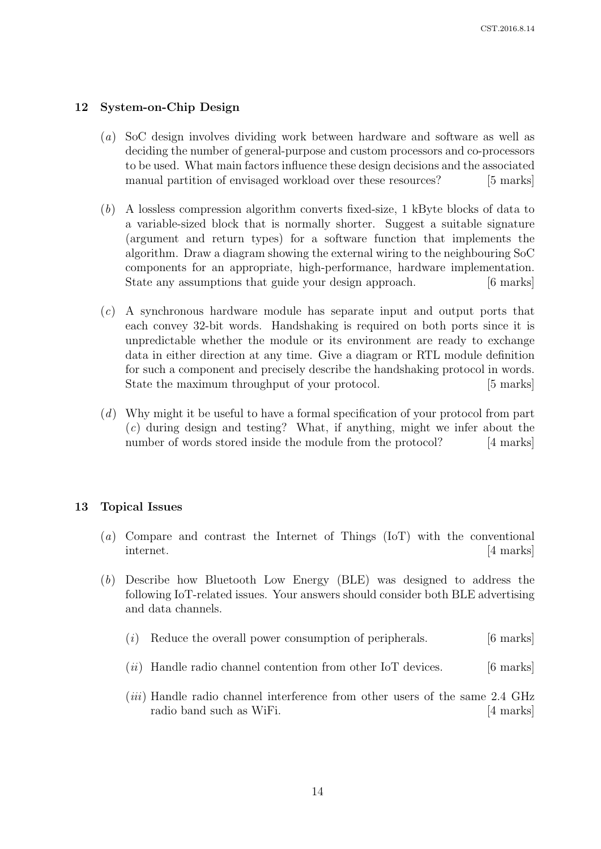# 12 System-on-Chip Design

- (a) SoC design involves dividing work between hardware and software as well as deciding the number of general-purpose and custom processors and co-processors to be used. What main factors influence these design decisions and the associated manual partition of envisaged workload over these resources? [5 marks]
- (b) A lossless compression algorithm converts fixed-size, 1 kByte blocks of data to a variable-sized block that is normally shorter. Suggest a suitable signature (argument and return types) for a software function that implements the algorithm. Draw a diagram showing the external wiring to the neighbouring SoC components for an appropriate, high-performance, hardware implementation. State any assumptions that guide your design approach. [6 marks]
- (c) A synchronous hardware module has separate input and output ports that each convey 32-bit words. Handshaking is required on both ports since it is unpredictable whether the module or its environment are ready to exchange data in either direction at any time. Give a diagram or RTL module definition for such a component and precisely describe the handshaking protocol in words. State the maximum throughput of your protocol. [5 marks]
- (d) Why might it be useful to have a formal specification of your protocol from part (c) during design and testing? What, if anything, might we infer about the number of words stored inside the module from the protocol? [4 marks]

# 13 Topical Issues

- (a) Compare and contrast the Internet of Things (IoT) with the conventional internet. [4 marks]
- (b) Describe how Bluetooth Low Energy (BLE) was designed to address the following IoT-related issues. Your answers should consider both BLE advertising and data channels.
	- (i) Reduce the overall power consumption of peripherals.  $[6 \text{ marks}]$
	- $(ii)$  Handle radio channel contention from other IoT devices.  $[6 \text{ marks}]$
	- (*iii*) Handle radio channel interference from other users of the same 2.4 GHz radio band such as WiFi. [4 marks]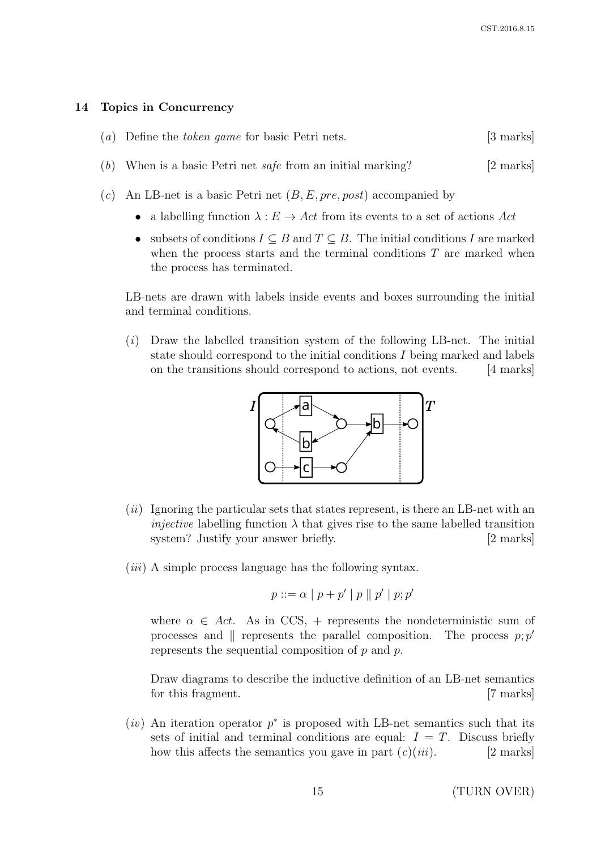#### 14 Topics in Concurrency

| (a) Define the <i>token game</i> for basic Petri nets. | [3 marks] |
|--------------------------------------------------------|-----------|
|                                                        |           |

- (b) When is a basic Petri net *safe* from an initial marking? [2 marks]
- (c) An LB-net is a basic Petri net  $(B, E, pre, post)$  accompanied by
	- a labelling function  $\lambda : E \to Act$  from its events to a set of actions Act
	- subsets of conditions  $I \subseteq B$  and  $T \subseteq B$ . The initial conditions I are marked when the process starts and the terminal conditions  $T$  are marked when the process has terminated.

LB-nets are drawn with labels inside events and boxes surrounding the initial and terminal conditions.

 $(i)$  Draw the labelled transition system of the following LB-net. The initial state should correspond to the initial conditions I being marked and labels on the transitions should correspond to actions, not events. [4 marks]



- $(ii)$  Ignoring the particular sets that states represent, is there an LB-net with an *injective* labelling function  $\lambda$  that gives rise to the same labelled transition system? Justify your answer briefly. [2 marks]
- $(iii)$  A simple process language has the following syntax.

$$
p ::= \alpha \mid p + p' \mid p \parallel p' \mid p; p'
$$

where  $\alpha \in Act$ . As in CCS, + represents the nondeterministic sum of processes and  $\parallel$  represents the parallel composition. The process  $p$ ; p' represents the sequential composition of  $p$  and  $p$ .

Draw diagrams to describe the inductive definition of an LB-net semantics for this fragment. [7 marks]

 $(iv)$  An iteration operator  $p^*$  is proposed with LB-net semantics such that its sets of initial and terminal conditions are equal:  $I = T$ . Discuss briefly how this affects the semantics you gave in part  $(c)(iii)$ . [2 marks]

15 (TURN OVER)